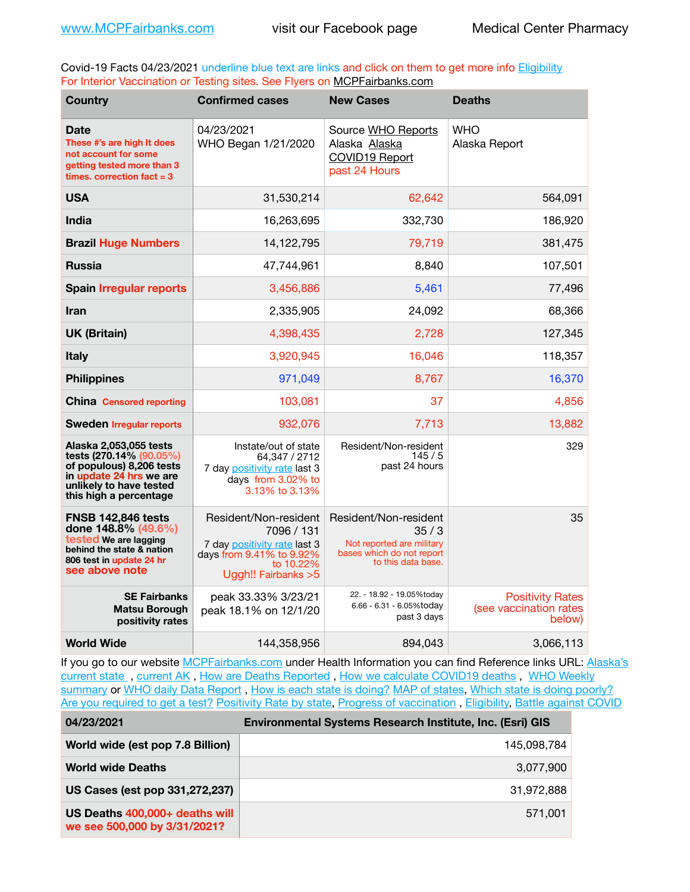Covid-19 Facts 04/23/2021 underline blue text are links and click on them to get more info **Eligibility** For Interior Vaccination or Testing sites. See Flyers on [MCPFairbanks.com](http://www.MCPFairbanks.com)

| <b>Country</b>                                                                                                                                                | <b>Confirmed cases</b>                                                                                                               | <b>New Cases</b>                                                                                              | <b>Deaths</b>                                               |
|---------------------------------------------------------------------------------------------------------------------------------------------------------------|--------------------------------------------------------------------------------------------------------------------------------------|---------------------------------------------------------------------------------------------------------------|-------------------------------------------------------------|
| Date<br>These #'s are high It does<br>not account for some<br>getting tested more than 3<br>times, correction fact $= 3$                                      | 04/23/2021<br>WHO Began 1/21/2020                                                                                                    | Source WHO Reports<br>Alaska Alaska<br>COVID19 Report<br>past 24 Hours                                        | <b>WHO</b><br>Alaska Report                                 |
| <b>USA</b>                                                                                                                                                    | 31,530,214                                                                                                                           | 62,642                                                                                                        | 564.091                                                     |
| <b>India</b>                                                                                                                                                  | 16,263,695                                                                                                                           | 332,730                                                                                                       | 186,920                                                     |
| <b>Brazil Huge Numbers</b>                                                                                                                                    | 14,122,795                                                                                                                           | 79,719                                                                                                        | 381,475                                                     |
| <b>Russia</b>                                                                                                                                                 | 47.744.961                                                                                                                           | 8,840                                                                                                         | 107,501                                                     |
| <b>Spain Irregular reports</b>                                                                                                                                | 3,456,886                                                                                                                            | 5,461                                                                                                         | 77,496                                                      |
| <b>Iran</b>                                                                                                                                                   | 2,335,905                                                                                                                            | 24.092                                                                                                        | 68,366                                                      |
| <b>UK (Britain)</b>                                                                                                                                           | 4,398,435                                                                                                                            | 2,728                                                                                                         | 127,345                                                     |
| <b>Italy</b>                                                                                                                                                  | 3,920,945                                                                                                                            | 16,046                                                                                                        | 118,357                                                     |
| <b>Philippines</b>                                                                                                                                            | 971,049                                                                                                                              | 8,767                                                                                                         | 16,370                                                      |
| <b>China</b> Censored reporting                                                                                                                               | 103,081                                                                                                                              | 37                                                                                                            | 4,856                                                       |
| <b>Sweden Irregular reports</b>                                                                                                                               | 932.076                                                                                                                              | 7.713                                                                                                         | 13.882                                                      |
| Alaska 2,053,055 tests<br>tests (270.14% (90.05%)<br>of populous) 8,206 tests<br>in update 24 hrs we are<br>unlikely to have tested<br>this high a percentage | Instate/out of state<br>64.347 / 2712<br>7 day positivity rate last 3<br>days from 3.02% to<br>3.13% to 3.13%                        | Resident/Non-resident<br>145/5<br>past 24 hours                                                               | 329                                                         |
| <b>FNSB 142.846 tests</b><br>done 148.8% (49.6%)<br>tested We are lagging<br>behind the state & nation<br>806 test in update 24 hr<br>see above note          | Resident/Non-resident<br>7096 / 131<br>7 day positivity rate last 3<br>days from 9.41% to 9.92%<br>to 10.22%<br>Uggh!! Fairbanks > 5 | Resident/Non-resident<br>35/3<br>Not reported are military<br>bases which do not report<br>to this data base. | 35                                                          |
| <b>SE Fairbanks</b><br><b>Matsu Borough</b><br>positivity rates                                                                                               | peak 33.33% 3/23/21<br>peak 18.1% on 12/1/20                                                                                         | 22. - 18.92 - 19.05%today<br>6.66 - 6.31 - 6.05%today<br>past 3 days                                          | <b>Positivity Rates</b><br>(see vaccination rates<br>below) |
| <b>World Wide</b>                                                                                                                                             | 144,358,956                                                                                                                          | 894,043                                                                                                       | 3,066,113                                                   |

If you go to our website [MCPFairbanks.com](http://www.MCPFairbanks.com) under Health Information you can find Reference links URL: Alaska's [current state](https://coronavirus-response-alaska-dhss.hub.arcgis.com) , [current AK](http://dhss.alaska.gov/dph/Epi/id/Pages/COVID-19/communications.aspx#cases) , [How are Deaths Reported](http://dhss.alaska.gov/dph/Epi/id/Pages/COVID-19/deathcounts.aspx) , [How we calculate COVID19 deaths](https://coronavirus-response-alaska-dhss.hub.arcgis.com/search?collection=Document&groupIds=41ccb3344ebc4bd682c74073eba21f42) , [WHO Weekly](http://www.who.int)  [summary](http://www.who.int) or [WHO daily Data Report](https://covid19.who.int/table), [How is each state is doing?](https://www.msn.com/en-us/news/us/state-by-state-coronavirus-news/ar-BB13E1PX?fbclid=IwAR0_OBJH7lSyTN3ug_MsOeFnNgB1orTa9OBgilKJ7dhnwlVvHEsptuKkj1c) [MAP of states,](https://www.nationalgeographic.com/science/graphics/graphic-tracking-coronavirus-infections-us?cmpid=org=ngp::mc=crm-email::src=ngp::cmp=editorial::add=SpecialEdition_20210305&rid=B9A6DF5992658E8E35CE023113CFEA4C) [Which state is doing poorly?](https://bestlifeonline.com/covid-outbreak-your-state/?utm_source=nsltr&utm_medium=email&utm_content=covid-outbreak-your-state&utm_campaign=launch) [Are you required to get a test?](http://dhss.alaska.gov/dph/Epi/id/SiteAssets/Pages/HumanCoV/Whattodoafteryourtest.pdf) [Positivity Rate by state](https://coronavirus.jhu.edu/testing/individual-states/alaska), Progress of vaccination, [Eligibility,](http://dhss.alaska.gov/dph/Epi/id/Pages/COVID-19/VaccineAvailability.aspx) [Battle against COVID](https://www.nationalgeographic.com/science/graphics/graphic-tracking-coronavirus-infections-us?cmpid=org=ngp::mc=crm-email::src=ngp::cmp=editorial::add=SpecialEdition_20210219&rid=B9A6DF5992658E8E35CE023113CFEA4C)

| 04/23/2021                                                     | Environmental Systems Research Institute, Inc. (Esri) GIS |
|----------------------------------------------------------------|-----------------------------------------------------------|
| World wide (est pop 7.8 Billion)                               | 145,098,784                                               |
| <b>World wide Deaths</b>                                       | 3,077,900                                                 |
| US Cases (est pop 331,272,237)                                 | 31.972.888                                                |
| US Deaths 400,000+ deaths will<br>we see 500,000 by 3/31/2021? | 571,001                                                   |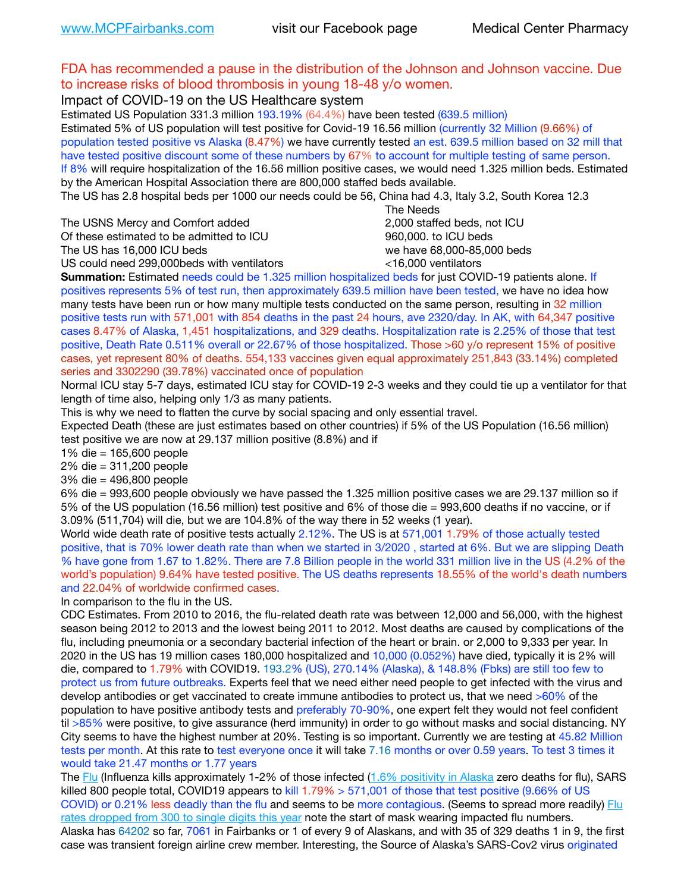| FDA has recommended a pause in the distribution of the Johnson and Johnson vaccine. Due                                                                                                                                     |                             |
|-----------------------------------------------------------------------------------------------------------------------------------------------------------------------------------------------------------------------------|-----------------------------|
| to increase risks of blood thrombosis in young 18-48 y/o women.                                                                                                                                                             |                             |
| Impact of COVID-19 on the US Healthcare system                                                                                                                                                                              |                             |
| Estimated US Population 331.3 million 193.19% (64.4%) have been tested (639.5 million)                                                                                                                                      |                             |
| Estimated 5% of US population will test positive for Covid-19 16.56 million (currently 32 Million (9.66%) of                                                                                                                |                             |
| population tested positive vs Alaska (8.47%) we have currently tested an est. 639.5 million based on 32 mill that                                                                                                           |                             |
| have tested positive discount some of these numbers by 67% to account for multiple testing of same person.                                                                                                                  |                             |
| If 8% will require hospitalization of the 16.56 million positive cases, we would need 1.325 million beds. Estimated                                                                                                         |                             |
| by the American Hospital Association there are 800,000 staffed beds available.                                                                                                                                              |                             |
| The US has 2.8 hospital beds per 1000 our needs could be 56, China had 4.3, Italy 3.2, South Korea 12.3                                                                                                                     |                             |
|                                                                                                                                                                                                                             | The Needs                   |
| The USNS Mercy and Comfort added                                                                                                                                                                                            | 2,000 staffed beds, not ICU |
| Of these estimated to be admitted to ICU                                                                                                                                                                                    | 960,000. to ICU beds        |
| The US has 16,000 ICU beds                                                                                                                                                                                                  | we have 68,000-85,000 beds  |
| US could need 299,000beds with ventilators                                                                                                                                                                                  | <16,000 ventilators         |
| Summation: Estimated needs could be 1.325 million hospitalized beds for just COVID-19 patients alone. If                                                                                                                    |                             |
| positives represents 5% of test run, then approximately 639.5 million have been tested, we have no idea how                                                                                                                 |                             |
| many tests have been run or how many multiple tests conducted on the same person, resulting in 32 million                                                                                                                   |                             |
| positive tests run with 571,001 with 854 deaths in the past 24 hours, ave 2320/day. In AK, with 64,347 positive                                                                                                             |                             |
| cases 8.47% of Alaska, 1,451 hospitalizations, and 329 deaths. Hospitalization rate is 2.25% of those that test                                                                                                             |                             |
| positive, Death Rate 0.511% overall or 22.67% of those hospitalized. Those >60 y/o represent 15% of positive                                                                                                                |                             |
| cases, yet represent 80% of deaths. 554,133 vaccines given equal approximately 251,843 (33.14%) completed                                                                                                                   |                             |
| series and 3302290 (39.78%) vaccinated once of population                                                                                                                                                                   |                             |
| Normal ICU stay 5-7 days, estimated ICU stay for COVID-19 2-3 weeks and they could tie up a ventilator for that                                                                                                             |                             |
| length of time also, helping only 1/3 as many patients.                                                                                                                                                                     |                             |
| This is why we need to flatten the curve by social spacing and only essential travel.                                                                                                                                       |                             |
| Expected Death (these are just estimates based on other countries) if 5% of the US Population (16.56 million)                                                                                                               |                             |
| test positive we are now at 29.137 million positive (8.8%) and if                                                                                                                                                           |                             |
| 1% die = 165,600 people                                                                                                                                                                                                     |                             |
| 2% die = 311,200 people                                                                                                                                                                                                     |                             |
| 3% die = 496,800 people                                                                                                                                                                                                     |                             |
| 6% die = 993,600 people obviously we have passed the 1.325 million positive cases we are 29.137 million so if                                                                                                               |                             |
| 5% of the US population (16.56 million) test positive and 6% of those die = 993,600 deaths if no vaccine, or if                                                                                                             |                             |
| 3.09% (511,704) will die, but we are 104.8% of the way there in 52 weeks (1 year).                                                                                                                                          |                             |
| World wide death rate of positive tests actually 2.12%. The US is at 571,001 1.79% of those actually tested                                                                                                                 |                             |
| positive, that is 70% lower death rate than when we started in 3/2020, started at 6%. But we are slipping Death                                                                                                             |                             |
| % have gone from 1.67 to 1.82%. There are 7.8 Billion people in the world 331 million live in the US (4.2% of the                                                                                                           |                             |
| world's population) 9.64% have tested positive. The US deaths represents 18.55% of the world's death numbers                                                                                                                |                             |
| and 22.04% of worldwide confirmed cases.                                                                                                                                                                                    |                             |
| In comparison to the flu in the US.                                                                                                                                                                                         |                             |
| CDC Estimates. From 2010 to 2016, the flu-related death rate was between 12,000 and 56,000, with the highest                                                                                                                |                             |
| season being 2012 to 2013 and the lowest being 2011 to 2012. Most deaths are caused by complications of the                                                                                                                 |                             |
| flu, including pneumonia or a secondary bacterial infection of the heart or brain. or 2,000 to 9,333 per year. In                                                                                                           |                             |
| 2020 in the US has 19 million cases 180,000 hospitalized and 10,000 (0.052%) have died, typically it is 2% will                                                                                                             |                             |
| die, compared to 1.79% with COVID19. 193.2% (US), 270.14% (Alaska), & 148.8% (Fbks) are still too few to                                                                                                                    |                             |
| protect us from future outbreaks. Experts feel that we need either need people to get infected with the virus and                                                                                                           |                             |
| develop antibodies or get vaccinated to create immune antibodies to protect us, that we need >60% of the<br>population to have positive antibody tests and preferably 70-90%, one expert felt they would not feel confident |                             |
| til >85% were positive, to give assurance (herd immunity) in order to go without masks and social distancing. NY                                                                                                            |                             |
| City seems to have the highest number at 20%. Testing is so important. Currently we are testing at 45.82 Million                                                                                                            |                             |
|                                                                                                                                                                                                                             |                             |

tests per month. At this rate to test everyone once it will take 7.16 months or over 0.59 years. To test 3 times it would take 21.47 months or 1.77 years

The [Flu](https://lnks.gd/l/eyJhbGciOiJIUzI1NiJ9.eyJidWxsZXRpbl9saW5rX2lkIjoxMDMsInVyaSI6ImJwMjpjbGljayIsImJ1bGxldGluX2lkIjoiMjAyMTAyMjYuMzYwNDA3NTEiLCJ1cmwiOiJodHRwczovL3d3dy5jZGMuZ292L2ZsdS93ZWVrbHkvb3ZlcnZpZXcuaHRtIn0.ePMA_hsZ-pTnhWSyg1gHvHWYTu2XceVOt0JejxvP1WE/s/500544915/br/98428119752-l) (Influenza kills approximately 1-2% of those infected ([1.6% positivity in Alaska](http://dhss.alaska.gov/dph/Epi/id/SiteAssets/Pages/influenza/trends/Snapshot.pdf) zero deaths for flu), SARS killed 800 people total, COVID19 appears to kill 1.79% > 571,001 of those that test positive (9.66% of US COVID) or 0.21% less deadly than the flu and seems to be more contagious. (Seems to spread more readily) Flu [rates dropped from 300 to single digits this year](https://lnks.gd/l/eyJhbGciOiJIUzI1NiJ9.eyJidWxsZXRpbl9saW5rX2lkIjoxMDEsInVyaSI6ImJwMjpjbGljayIsImJ1bGxldGluX2lkIjoiMjAyMTAyMjYuMzYwNDA3NTEiLCJ1cmwiOiJodHRwOi8vZGhzcy5hbGFza2EuZ292L2RwaC9FcGkvaWQvUGFnZXMvaW5mbHVlbnphL2ZsdWluZm8uYXNweCJ9.oOe3nt2fww6XpsNhb4FZfmtPfPa-irGaldpkURBJhSo/s/500544915/br/98428119752-l) note the start of mask wearing impacted flu numbers. Alaska has 64202 so far, 7061 in Fairbanks or 1 of every 9 of Alaskans, and with 35 of 329 deaths 1 in 9, the first case was transient foreign airline crew member. Interesting, the Source of Alaska's SARS-Cov2 virus originated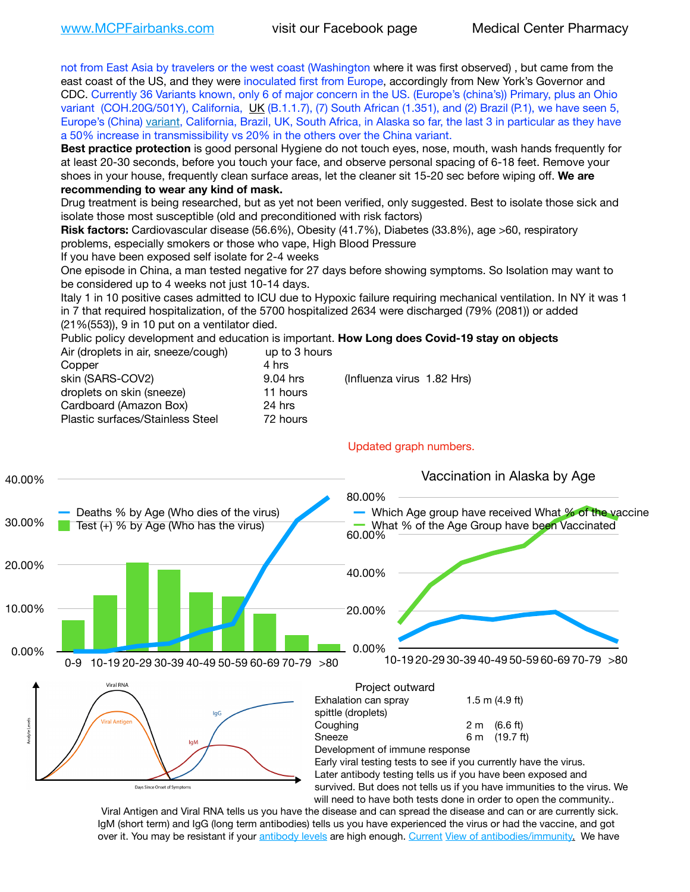not from East Asia by travelers or the west coast (Washington where it was first observed) , but came from the east coast of the US, and they were inoculated first from Europe, accordingly from New York's Governor and CDC. Currently 36 Variants known, only 6 of major concern in the US. (Europe's (china's)) Primary, plus an Ohio variant (COH.20G/501Y), California, [UK](https://www.cdc.gov/coronavirus/2019-ncov/transmission/variant-cases.html) (B.1.1.7), (7) South African (1.351), and (2) Brazil (P.1), we have seen 5, Europe's (China) [variant,](https://www.webmd.com/lung/news/20210318/cdc-who-create-threat-levels-for-covid-variants?ecd=wnl_cvd_031921&ctr=wnl-cvd-031921&mb=kYbf7DsHb7YGjh/1RUkcAW0T6iorImAU1TDZh18RYs0=_Support_titleLink_2) California, Brazil, UK, South Africa, in Alaska so far, the last 3 in particular as they have a 50% increase in transmissibility vs 20% in the others over the China variant.

**Best practice protection** is good personal Hygiene do not touch eyes, nose, mouth, wash hands frequently for at least 20-30 seconds, before you touch your face, and observe personal spacing of 6-18 feet. Remove your shoes in your house, frequently clean surface areas, let the cleaner sit 15-20 sec before wiping off. **We are recommending to wear any kind of mask.**

Drug treatment is being researched, but as yet not been verified, only suggested. Best to isolate those sick and isolate those most susceptible (old and preconditioned with risk factors)

**Risk factors:** Cardiovascular disease (56.6%), Obesity (41.7%), Diabetes (33.8%), age >60, respiratory problems, especially smokers or those who vape, High Blood Pressure

If you have been exposed self isolate for 2-4 weeks

One episode in China, a man tested negative for 27 days before showing symptoms. So Isolation may want to be considered up to 4 weeks not just 10-14 days.

Italy 1 in 10 positive cases admitted to ICU due to Hypoxic failure requiring mechanical ventilation. In NY it was 1 in 7 that required hospitalization, of the 5700 hospitalized 2634 were discharged (79% (2081)) or added (21%(553)), 9 in 10 put on a ventilator died.

Public policy development and education is important. **How Long does Covid-19 stay on objects** Air (droplets in air, sneeze/cough) up to 3 hours

| All (dropiers in all, sheeze/cough) | ap to 3 Hours |                            |
|-------------------------------------|---------------|----------------------------|
| Copper                              | 4 hrs         |                            |
| skin (SARS-COV2)                    | 9.04 hrs      | (Influenza virus 1.82 Hrs) |
| droplets on skin (sneeze)           | 11 hours      |                            |
| Cardboard (Amazon Box)              | 24 hrs        |                            |
| Plastic surfaces/Stainless Steel    | 72 hours      |                            |
|                                     |               |                            |



Viral Antigen and Viral RNA tells us you have the disease and can spread the disease and can or are currently sick. IgM (short term) and IgG (long term antibodies) tells us you have experienced the virus or had the vaccine, and got over it. You may be resistant if your [antibody levels](https://www.cdc.gov/coronavirus/2019-ncov/lab/resources/antibody-tests.html) are high enough. [Current](https://l.facebook.com/l.php?u=https://www.itv.com/news/2020-10-26/covid-19-antibody-levels-reduce-over-time-study-finds?fbclid=IwAR3Dapzh1qIH1EIOdUQI2y8THf7jfA4KBCaJz8Qg-8xe1YsrR4nsAHDIXSY&h=AT30nut8pkqp0heVuz5W2rT2WFFm-2Ab52BsJxZZCNlGsX58IpPkuVEPULbIUV_M16MAukx1Kwb657DPXxsgDN1rpOQ4gqBtQsmVYiWpnHPJo2RQsU6CPMd14lgLnQnFWxfVi6zvmw&__tn__=-UK-R&c%5B0%5D=AT1GaRAfR_nGAyqcn7TI1-PpvqOqEKXHnz6TDWvRStMnOSH7boQDvTiwTOc6VId9UES6LKiOmm2m88wKCoolkJyOFvakt2Z1Mw8toYWGGoWW23r0MNVBl7cYJXB_UOvGklNHaNnaNr1_S7NhT3BSykNOBg) [View of antibodies/immunity](https://www.livescience.com/antibodies.html)[.](https://www.itv.com/news/2020-10-26/covid-19-antibody-levels-reduce-over-time-study-finds) We have

#### Updated graph numbers.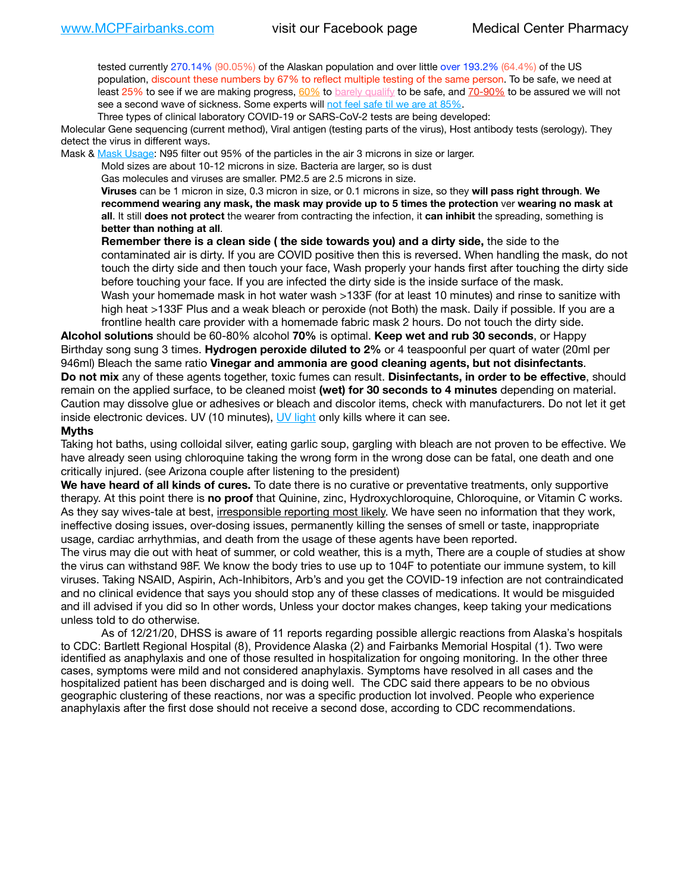tested currently 270.14% (90.05%) of the Alaskan population and over little over 193.2% (64.4%) of the US population, discount these numbers by 67% to reflect multiple testing of the same person. To be safe, we need at least 25% to see if we are making progress,  $60\%$  to [barely qualify](https://www.nature.com/articles/d41586-020-02948-4) to be safe, and  $70-90\%$  to be assured we will not see a second wave of sickness. Some experts will [not feel safe til we are at 85%.](https://www.bannerhealth.com/healthcareblog/teach-me/what-is-herd-immunity)

Three types of clinical laboratory COVID-19 or SARS-CoV-2 tests are being developed:

Molecular Gene sequencing (current method), Viral antigen (testing parts of the virus), Host antibody tests (serology). They detect the virus in different ways.

Mask & [Mask Usage:](https://www.nationalgeographic.com/history/2020/03/how-cities-flattened-curve-1918-spanish-flu-pandemic-coronavirus/) N95 filter out 95% of the particles in the air 3 microns in size or larger.

Mold sizes are about 10-12 microns in size. Bacteria are larger, so is dust

Gas molecules and viruses are smaller. PM2.5 are 2.5 microns in size.

**Viruses** can be 1 micron in size, 0.3 micron in size, or 0.1 microns in size, so they **will pass right through**. **We recommend wearing any mask, the mask may provide up to 5 times the protection** ver **wearing no mask at all**. It still **does not protect** the wearer from contracting the infection, it **can inhibit** the spreading, something is **better than nothing at all**.

**Remember there is a clean side ( the side towards you) and a dirty side,** the side to the contaminated air is dirty. If you are COVID positive then this is reversed. When handling the mask, do not touch the dirty side and then touch your face, Wash properly your hands first after touching the dirty side before touching your face. If you are infected the dirty side is the inside surface of the mask. Wash your homemade mask in hot water wash >133F (for at least 10 minutes) and rinse to sanitize with high heat >133F Plus and a weak bleach or peroxide (not Both) the mask. Daily if possible. If you are a frontline health care provider with a homemade fabric mask 2 hours. Do not touch the dirty side.

**Alcohol solutions** should be 60-80% alcohol **70%** is optimal. **Keep wet and rub 30 seconds**, or Happy Birthday song sung 3 times. **Hydrogen peroxide diluted to 2%** or 4 teaspoonful per quart of water (20ml per 946ml) Bleach the same ratio **Vinegar and ammonia are good cleaning agents, but not disinfectants**. **Do not mix** any of these agents together, toxic fumes can result. **Disinfectants, in order to be effective**, should remain on the applied surface, to be cleaned moist **(wet) for 30 seconds to 4 minutes** depending on material. Caution may dissolve glue or adhesives or bleach and discolor items, check with manufacturers. Do not let it get inside electronic devices. UV (10 minutes), [UV light](http://www.docreviews.me/best-uv-boxes-2020/?fbclid=IwAR3bvFtXB48OoBBSvYvTEnKuHNPbipxM6jUo82QUSw9wckxjC7wwRZWabGw) only kills where it can see.

#### **Myths**

Taking hot baths, using colloidal silver, eating garlic soup, gargling with bleach are not proven to be effective. We have already seen using chloroquine taking the wrong form in the wrong dose can be fatal, one death and one critically injured. (see Arizona couple after listening to the president)

**We have heard of all kinds of cures.** To date there is no curative or preventative treatments, only supportive therapy. At this point there is **no proof** that Quinine, zinc, Hydroxychloroquine, Chloroquine, or Vitamin C works. As they say wives-tale at best, irresponsible reporting most likely. We have seen no information that they work, ineffective dosing issues, over-dosing issues, permanently killing the senses of smell or taste, inappropriate usage, cardiac arrhythmias, and death from the usage of these agents have been reported.

The virus may die out with heat of summer, or cold weather, this is a myth, There are a couple of studies at show the virus can withstand 98F. We know the body tries to use up to 104F to potentiate our immune system, to kill viruses. Taking NSAID, Aspirin, Ach-Inhibitors, Arb's and you get the COVID-19 infection are not contraindicated and no clinical evidence that says you should stop any of these classes of medications. It would be misguided and ill advised if you did so In other words, Unless your doctor makes changes, keep taking your medications unless told to do otherwise.

As of 12/21/20, DHSS is aware of 11 reports regarding possible allergic reactions from Alaska's hospitals to CDC: Bartlett Regional Hospital (8), Providence Alaska (2) and Fairbanks Memorial Hospital (1). Two were identified as anaphylaxis and one of those resulted in hospitalization for ongoing monitoring. In the other three cases, symptoms were mild and not considered anaphylaxis. Symptoms have resolved in all cases and the hospitalized patient has been discharged and is doing well. The CDC said there appears to be no obvious geographic clustering of these reactions, nor was a specific production lot involved. People who experience anaphylaxis after the first dose should not receive a second dose, according to CDC recommendations.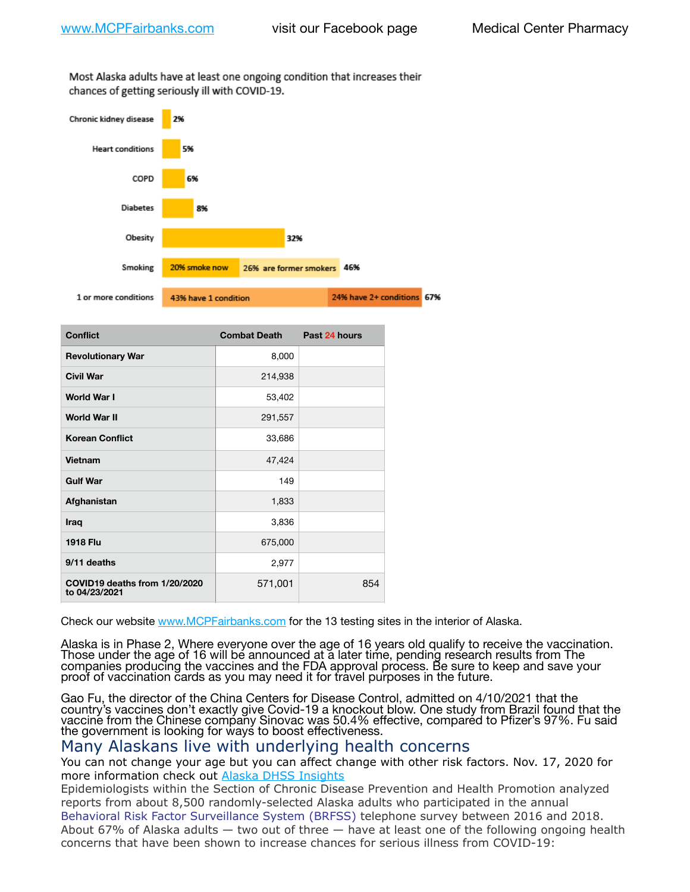Most Alaska adults have at least one ongoing condition that increases their chances of getting seriously ill with COVID-19.



| <b>Conflict</b>                                | <b>Combat Death</b> | Past 24 hours |
|------------------------------------------------|---------------------|---------------|
| <b>Revolutionary War</b>                       | 8,000               |               |
| <b>Civil War</b>                               | 214,938             |               |
| World War I                                    | 53,402              |               |
| <b>World War II</b>                            | 291,557             |               |
| <b>Korean Conflict</b>                         | 33,686              |               |
| Vietnam                                        | 47,424              |               |
| <b>Gulf War</b>                                | 149                 |               |
| Afghanistan                                    | 1,833               |               |
| Iraq                                           | 3,836               |               |
| <b>1918 Flu</b>                                | 675,000             |               |
| 9/11 deaths                                    | 2,977               |               |
| COVID19 deaths from 1/20/2020<br>to 04/23/2021 | 571,001             | 854           |

Check our website [www.MCPFairbanks.com](http://www.MCPFairbanks.com) for the 13 testing sites in the interior of Alaska.

Alaska is in Phase 2, Where everyone over the age of 16 years old qualify to receive the vaccination. Those under the age of 16 will be announced at a later time, pending research results from The companies producing the vaccines and the FDA approval process. Be sure to keep and save your proof of vaccination cards as you may need it for travel purposes in the future.

Gao Fu, the director of the China Centers for Disease Control, admitted on 4/10/2021 that the country's vaccines don't exactly give Covid-19 a knockout blow. One study from Brazil found that the vaccine from the Chinese company Sinovac was 50.4% effective, compared to Pfizer's 97%. Fu said the government is looking for ways to boost effectiveness.

## Many Alaskans live with underlying health concerns

You can not change your age but you can affect change with other risk factors. Nov. 17, 2020 for more information check out [Alaska DHSS Insights](http://dhss.alaska.gov/dph/Epi/id/Pages/COVID-19/blog/20201117.aspx)

Epidemiologists within the Section of Chronic Disease Prevention and Health Promotion analyzed reports from about 8,500 randomly-selected Alaska adults who participated in the annual [Behavioral Risk Factor Surveillance System \(BRFSS\)](http://dhss.alaska.gov/dph/Chronic/Pages/brfss/default.aspx) telephone survey between 2016 and 2018. About 67% of Alaska adults — two out of three — have at least one of the following ongoing health concerns that have been shown to increase chances for serious illness from COVID-19: